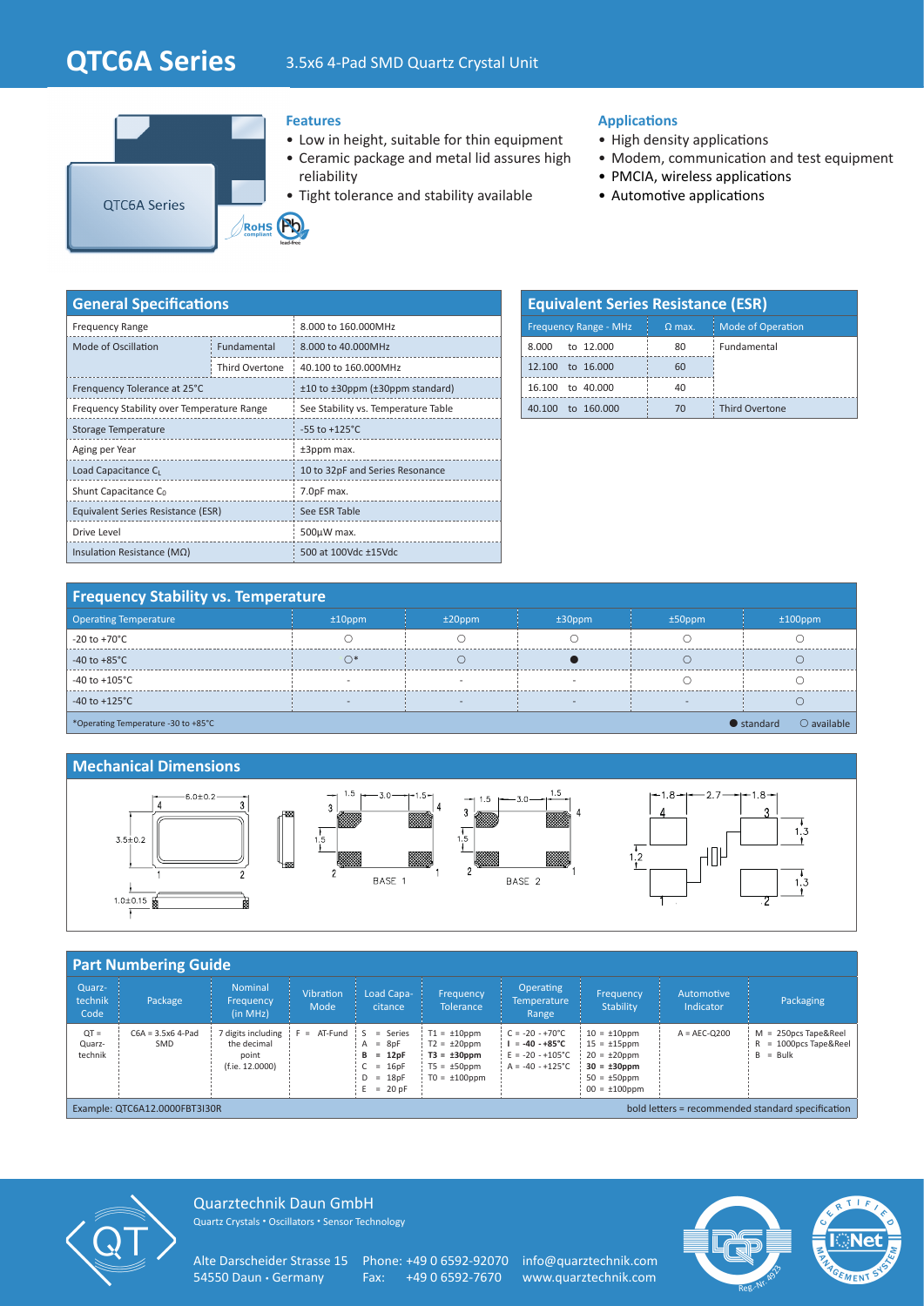# **QTC6A Series** 3.5x6 4-Pad SMD Quartz Crystal Unit



#### **Features**

- Low in height, suitable for thin equipment
- Ceramic package and metal lid assures high reliability
- Tight tolerance and stability available

#### **Applications**

- High density applications
- Modem, communication and test equipment
- PMCIA, wireless applications
- Automotive applications

| <b>General Specifications</b>              |                |                                     |  |  |  |  |
|--------------------------------------------|----------------|-------------------------------------|--|--|--|--|
| <b>Frequency Range</b>                     |                | 8.000 to 160.000MHz                 |  |  |  |  |
| Mode of Oscillation                        | Fundamental    | 8.000 to 40.000MHz                  |  |  |  |  |
|                                            | Third Overtone | 40.100 to 160.000MHz                |  |  |  |  |
| Frenquency Tolerance at 25°C               |                | ±10 to ±30ppm (±30ppm standard)     |  |  |  |  |
| Frequency Stability over Temperature Range |                | See Stability vs. Temperature Table |  |  |  |  |
| Storage Temperature                        |                | $-55$ to $+125^{\circ}$ C           |  |  |  |  |
| Aging per Year                             |                | ±3ppm max.                          |  |  |  |  |
| Load Capacitance CL                        |                | 10 to 32pF and Series Resonance     |  |  |  |  |
| Shunt Capacitance C <sub>0</sub>           |                | 7.0pF max.                          |  |  |  |  |
| Equivalent Series Resistance (ESR)         |                | See ESR Table                       |  |  |  |  |
| Drive Level                                |                | 500µW max.                          |  |  |  |  |
| Insulation Resistance ( $M\Omega$ )        |                | 500 at 100Vdc ±15Vdc                |  |  |  |  |

| <b>Equivalent Series Resistance (ESR)</b> |          |                          |  |  |  |  |  |
|-------------------------------------------|----------|--------------------------|--|--|--|--|--|
| <b>Frequency Range - MHz</b>              | $Q$ max. | <b>Mode of Operation</b> |  |  |  |  |  |
| to 12,000<br>8.000                        | 80       | Fundamental              |  |  |  |  |  |
| to 16,000<br>12 100                       | 60       |                          |  |  |  |  |  |
| 16.100 to 40.000                          | 40       |                          |  |  |  |  |  |
| to 160,000<br>40 100                      | 70       | <b>Third Overtone</b>    |  |  |  |  |  |

## **Frequency Stability vs. Temperature**

| <b>Operating Temperature</b>                                                      | $±10$ ppm                | $±20$ ppm | $±30$ ppm | $±50$ ppm | $±100$ ppm |  |
|-----------------------------------------------------------------------------------|--------------------------|-----------|-----------|-----------|------------|--|
| $-20$ to $+70^{\circ}$ C                                                          |                          |           |           |           |            |  |
| $-40$ to $+85^{\circ}$ C                                                          |                          |           |           |           |            |  |
| -40 to +105 $^{\circ}$ C                                                          |                          |           |           |           |            |  |
| $-40$ to $+125^{\circ}$ C                                                         | $\overline{\phantom{a}}$ |           |           |           |            |  |
| $\bigcirc$ available<br>$\bullet$ standard<br>*Operating Temperature -30 to +85°C |                          |           |           |           |            |  |

#### **Mechanical Dimensions**



#### **Part Numbering Guide** Quarztechnik Code Package Nominal Frequency (in MHz) Vibration Mode Load Capacitance Frequency **Tolerance** Operating **Temperature** Range Frequency **Stability** Automotive Indicator Packaging  $OT =$ Quarztechnik C6A = 3.5x6 4-Pad SMD 7 digits including  $|F = AT-Fund | S = Series$ the decimal point (f.ie. 12.0000)  $A = 8pF$ <br>  $B = 12pF$ **B = 12pF** C = 16pF D = 18pF  $E = 20$  pF  $T1 = +10$ ppm  $T2 = \pm 20$ ppm **T3 = ±30ppm**  $TS =  $\pm 50 \text{ppm}$$  $TO = ±100$ ppm  $C = -20 - +70^{\circ}C$  $I = -40 - +85^{\circ}C$  $F = -20 - +105^{\circ}C$  $A = -40 - +125^{\circ}C$  $10 = +10$ ppm  $15 = \pm 15$ ppm  $20 = +20$ ppm **30 = ±30ppm**  $50 = +50$ ppm  $00 = \pm 100$ ppm  $A = AEC-Q200$   $M = 250pcs$  Tape&Reel<br>R = 1000pcs Tape&Ree  $= 1000pcs$  Tape&Reel  $B = Bulk$ Example: QTC6A12.0000FBT3I30R bold letters = recommended standard specification



Quarztechnik Daun GmbH Quartz Crystals • Oscillators • Sensor Technology

Alte Darscheider Strasse 15 Phone: +49 0 6592-92070 info@quarztechnik.com<br>54550 Daun · Germany Fax: +49 0 6592-7670 www.quarztechnik.com

Fax: +49 0 6592-7670 www.quarztechnik.com